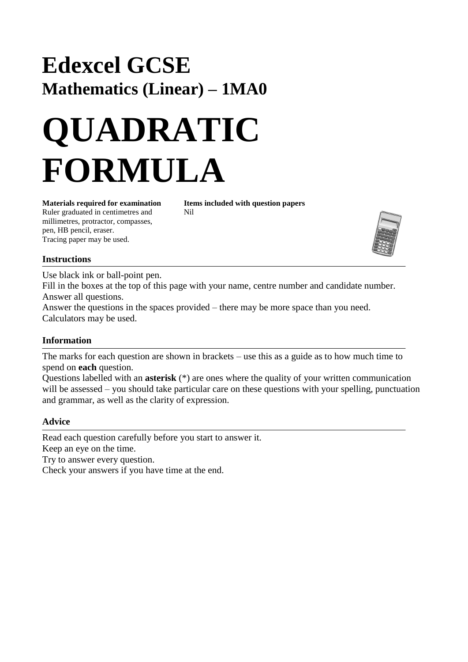## **Edexcel GCSE Mathematics (Linear) – 1MA0**

# **QUADRATIC FORMULA**

**Materials required for examination Items included with question papers** Ruler graduated in centimetres and Nil millimetres, protractor, compasses, pen, HB pencil, eraser. Tracing paper may be used.

#### **Instructions**

Use black ink or ball-point pen. Fill in the boxes at the top of this page with your name, centre number and candidate number. Answer all questions. Answer the questions in the spaces provided – there may be more space than you need. Calculators may be used.

### **Information**

The marks for each question are shown in brackets – use this as a guide as to how much time to spend on **each** question.

Questions labelled with an **asterisk** (\*) are ones where the quality of your written communication will be assessed – you should take particular care on these questions with your spelling, punctuation and grammar, as well as the clarity of expression.

#### **Advice**

Read each question carefully before you start to answer it. Keep an eye on the time.

Try to answer every question.

Check your answers if you have time at the end.

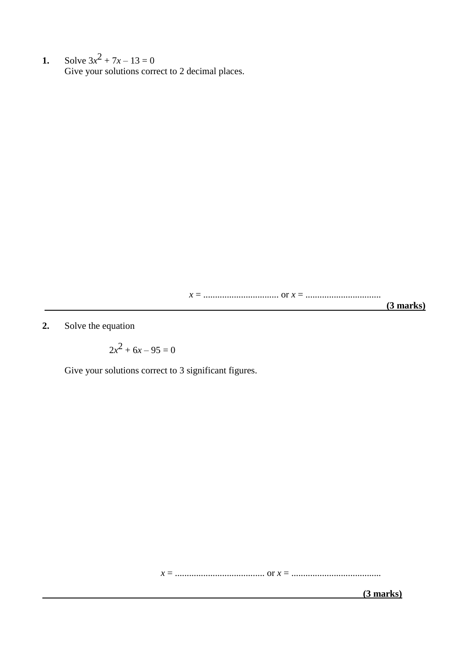**1.** Solve  $3x^2 + 7x - 13 = 0$ Give your solutions correct to 2 decimal places.

*x* = ................................ or *x* = ................................

 **(3 marks)**

**2.** Solve the equation

$$
2x^2 + 6x - 95 = 0
$$

Give your solutions correct to 3 significant figures.

*x* = ...................................... or *x* = ......................................

 **(3 marks)**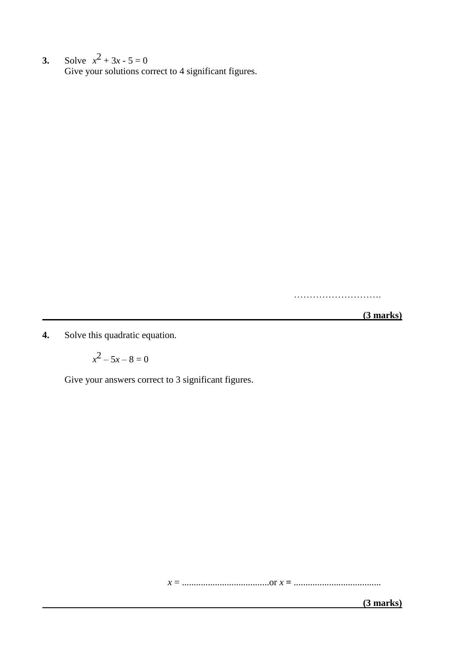**3.** Solve  $x^2 + 3x - 5 = 0$ Give your solutions correct to 4 significant figures.

……………………….

 **(3 marks)**

**4.** Solve this quadratic equation.

 $x^2 - 5x - 8 = 0$ 

Give your answers correct to 3 significant figures.

*x* = .....................................or *x* **=** .....................................

 **(3 marks)**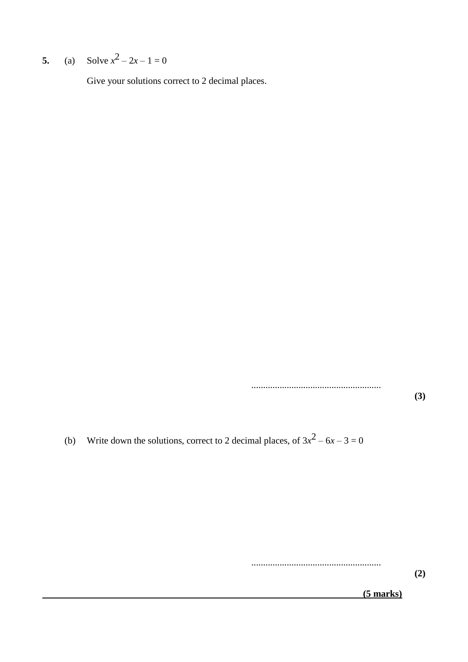**5.** (a) Solve  $x^2 - 2x - 1 = 0$ 

Give your solutions correct to 2 decimal places.

.......................................................

**(3)**

(b) Write down the solutions, correct to 2 decimal places, of  $3x^2 - 6x - 3 = 0$ 

.......................................................

**(2)**

 **(5 marks)**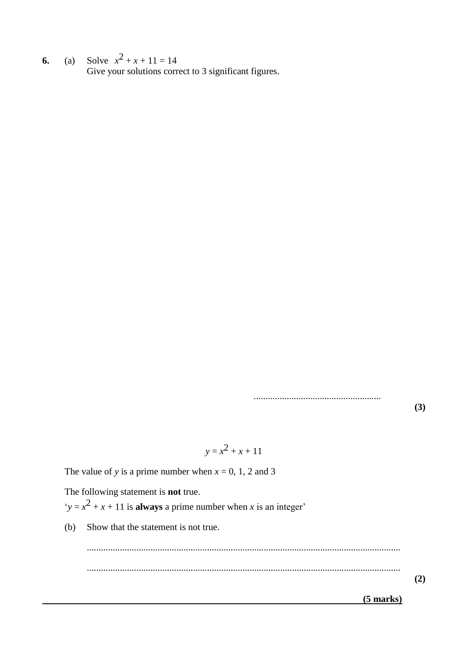**6.** (a) Solve  $x^2 + x + 11 = 14$ Give your solutions correct to 3 significant figures.

......................................................

**(3)**

$$
y = x^2 + x + 11
$$

The value of *y* is a prime number when  $x = 0, 1, 2$  and 3

The following statement is **not** true.  $y = x^2 + x + 11$  is **always** a prime number when *x* is an integer'

(b) Show that the statement is not true.

.....................................................................................................................................

.....................................................................................................................................

**(2)**

 **(5 marks)**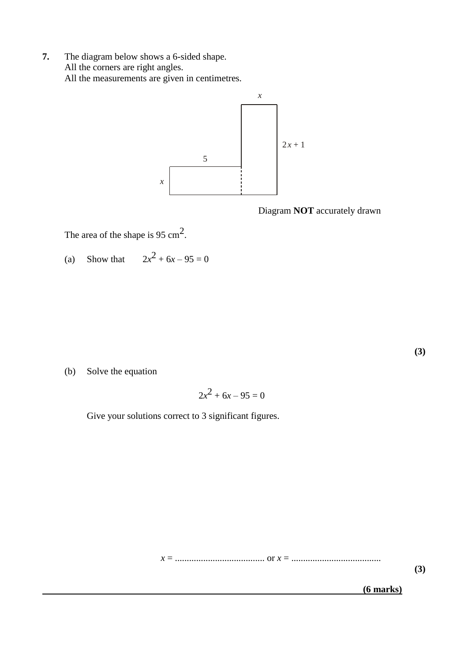**7.** The diagram below shows a 6-sided shape. All the corners are right angles. All the measurements are given in centimetres.



Diagram **NOT** accurately drawn

The area of the shape is 95 cm<sup>2</sup>.

(a) Show that  $2x^2 + 6x - 95 = 0$ 

**(3)**

(b) Solve the equation

$$
2x^2 + 6x - 95 = 0
$$

Give your solutions correct to 3 significant figures.

*x* = ...................................... or *x* = ......................................

**(3)**

 **(6 marks)**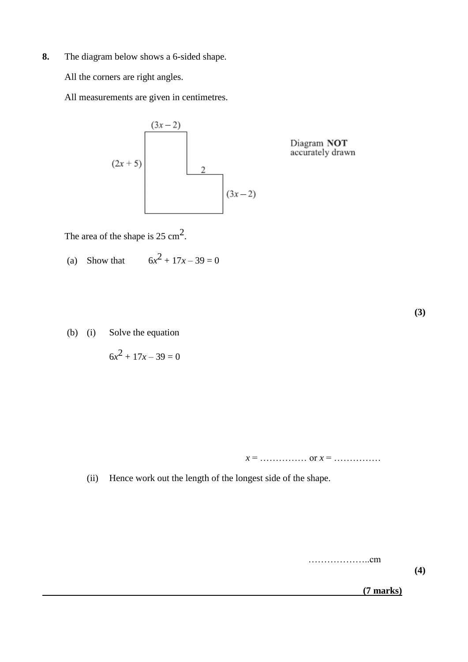**8.** The diagram below shows a 6-sided shape.

All the corners are right angles.

All measurements are given in centimetres.



Diagram NOT<br>accurately drawn

The area of the shape is  $25 \text{ cm}^2$ .

(a) Show that 
$$
6x^2 + 17x - 39 = 0
$$

(b) (i) Solve the equation

$$
6x^2 + 17x - 39 = 0
$$

*x* = …………… or *x* = ……………

(ii) Hence work out the length of the longest side of the shape.

………………..cm

**(4)**

**(3)**

 **(7 marks)**